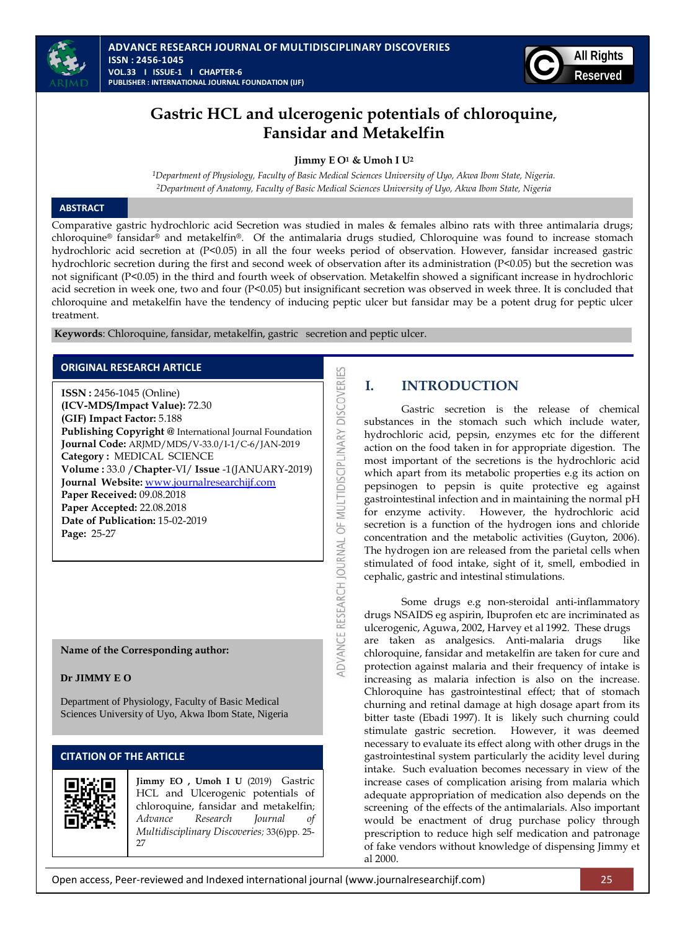



# **Gastric HCL and ulcerogenic potentials of chloroquine, Fansidar and Metakelfin**

### **Jimmy E O<sup>1</sup> & Umoh I U<sup>2</sup>**

*1Department of Physiology, Faculty of Basic Medical Sciences University of Uyo, Akwa Ibom State, Nigeria. 2Department of Anatomy, Faculty of Basic Medical Sciences University of Uyo, Akwa Ibom State, Nigeria*

## **ABSTRACT**

Comparative gastric hydrochloric acid Secretion was studied in males & females albino rats with three antimalaria drugs; chloroquine® fansidar® and metakelfin®. Of the antimalaria drugs studied, Chloroquine was found to increase stomach hydrochloric acid secretion at (P<0.05) in all the four weeks period of observation. However, fansidar increased gastric hydrochloric secretion during the first and second week of observation after its administration (P<0.05) but the secretion was not significant (P<0.05) in the third and fourth week of observation. Metakelfin showed a significant increase in hydrochloric acid secretion in week one, two and four (P<0.05) but insignificant secretion was observed in week three. It is concluded that chloroquine and metakelfin have the tendency of inducing peptic ulcer but fansidar may be a potent drug for peptic ulcer treatment.

DVANCE RESEARCH JOURNAL OF MULTIDISCIPLINARY DISCOVERIES

**Keywords**: Chloroquine, fansidar, metakelfin, gastric secretion and peptic ulcer.

#### **ORIGINAL RESEARCH ARTICLE**

**ISSN :** 2456-1045 (Online) **(ICV-MDS/Impact Value):** 72.30 **(GIF) Impact Factor:** 5.188 **Publishing Copyright @** International Journal Foundation **Journal Code:** ARJMD/MDS/V-33.0/I-1/C-6/JAN-2019 **Category :** MEDICAL SCIENCE **Volume :** 33.0 /**Chapter**-VI/ **Issue** -1(JANUARY-2019) **Journal Website:** [www.journalresearchijf.com](http://www.journalresearchijf.com/) **Paper Received:** 09.08.2018 **Paper Accepted:** 22.08.2018 **Date of Publication:** 15-02-2019 **Page:** 25-27

**Name of the Corresponding author:**

#### **Dr JIMMY E O**

Department of Physiology, Faculty of Basic Medical Sciences University of Uyo, Akwa Ibom State, Nigeria

## **CITATION OF THE ARTICLE**



**Jimmy EO , Umoh I U** (2019) Gastric HCL and Ulcerogenic potentials of chloroquine, fansidar and metakelfin; *Advance Research Journal of Multidisciplinary Discoveries;* 33(6)pp. 25- 27

# **I. INTRODUCTION**

Gastric secretion is the release of chemical substances in the stomach such which include water, hydrochloric acid, pepsin, enzymes etc for the different action on the food taken in for appropriate digestion. The most important of the secretions is the hydrochloric acid which apart from its metabolic properties e.g its action on pepsinogen to pepsin is quite protective eg against gastrointestinal infection and in maintaining the normal pH for enzyme activity. However, the hydrochloric acid secretion is a function of the hydrogen ions and chloride concentration and the metabolic activities (Guyton, 2006). The hydrogen ion are released from the parietal cells when stimulated of food intake, sight of it, smell, embodied in cephalic, gastric and intestinal stimulations.

Some drugs e.g non-steroidal anti-inflammatory drugs NSAIDS eg aspirin, Ibuprofen etc are incriminated as ulcerogenic, Aguwa, 2002, Harvey et al 1992. These drugs are taken as analgesics. Anti-malaria drugs like chloroquine, fansidar and metakelfin are taken for cure and protection against malaria and their frequency of intake is increasing as malaria infection is also on the increase. Chloroquine has gastrointestinal effect; that of stomach churning and retinal damage at high dosage apart from its bitter taste (Ebadi 1997). It is likely such churning could stimulate gastric secretion. However, it was deemed necessary to evaluate its effect along with other drugs in the gastrointestinal system particularly the acidity level during intake. Such evaluation becomes necessary in view of the increase cases of complication arising from malaria which adequate appropriation of medication also depends on the screening of the effects of the antimalarials. Also important would be enactment of drug purchase policy through prescription to reduce high self medication and patronage of fake vendors without knowledge of dispensing Jimmy et al 2000.

Open access, Peer-reviewed and Indexed international journal (www.journalresearchijf.com) 25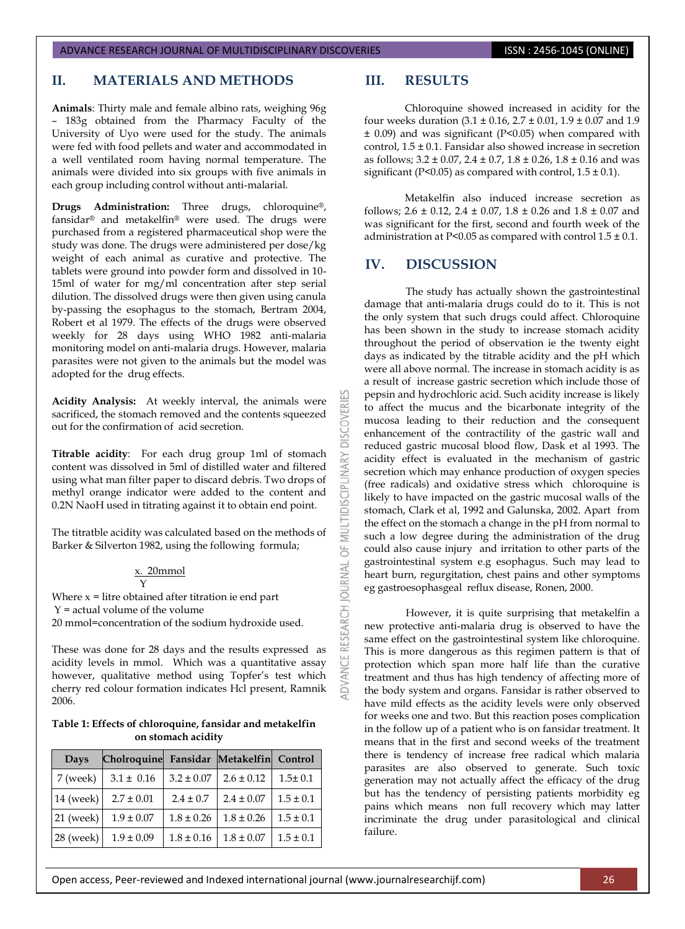#### ADVANCE RESEARCH JOURNAL OF MULTIDISCIPLINARY DISCOVERIES **ISSN : 2456-1045 (ONLINE)**

## **II. MATERIALS AND METHODS**

**Animals**: Thirty male and female albino rats, weighing 96g – 183g obtained from the Pharmacy Faculty of the University of Uyo were used for the study. The animals were fed with food pellets and water and accommodated in a well ventilated room having normal temperature. The animals were divided into six groups with five animals in each group including control without anti-malarial.

**Drugs Administration:** Three drugs, chloroquine®, fansidar® and metakelfin® were used. The drugs were purchased from a registered pharmaceutical shop were the study was done. The drugs were administered per dose/kg weight of each animal as curative and protective. The tablets were ground into powder form and dissolved in 10- 15ml of water for mg/ml concentration after step serial dilution. The dissolved drugs were then given using canula by-passing the esophagus to the stomach, Bertram 2004, Robert et al 1979. The effects of the drugs were observed weekly for 28 days using WHO 1982 anti-malaria monitoring model on anti-malaria drugs. However, malaria parasites were not given to the animals but the model was adopted for the drug effects.

**Acidity Analysis:** At weekly interval, the animals were sacrificed, the stomach removed and the contents squeezed out for the confirmation of acid secretion.

**Titrable acidity**: For each drug group 1ml of stomach content was dissolved in 5ml of distilled water and filtered using what man filter paper to discard debris. Two drops of methyl orange indicator were added to the content and 0.2N NaoH used in titrating against it to obtain end point.

The titratble acidity was calculated based on the methods of Barker & Silverton 1982, using the following formula;

#### x. 20mmol Y

Where  $x =$  litre obtained after titration ie end part Y = actual volume of the volume 20 mmol=concentration of the sodium hydroxide used.

These was done for 28 days and the results expressed as acidity levels in mmol. Which was a quantitative assay however, qualitative method using Topfer's test which cherry red colour formation indicates Hcl present, Ramnik 2006.

#### **Table 1: Effects of chloroquine, fansidar and metakelfin on stomach acidity**

| Days        | Cholroquine    | Fansidar       | Metakelfin Control |               |
|-------------|----------------|----------------|--------------------|---------------|
| 7 (week)    | $3.1 \pm 0.16$ | $3.2 \pm 0.07$ | $2.6 \pm 0.12$     | $1.5 \pm 0.1$ |
| 14 (week)   | $2.7 \pm 0.01$ | $2.4 \pm 0.7$  | $2.4 \pm 0.07$     | $1.5 \pm 0.1$ |
| $21$ (week) | $1.9 \pm 0.07$ | $1.8 \pm 0.26$ | $1.8 \pm 0.26$     | $1.5 \pm 0.1$ |
| $28$ (week) | $1.9 \pm 0.09$ | $1.8 \pm 0.16$ | $1.8 \pm 0.07$     | $1.5 \pm 0.1$ |

## **III. RESULTS**

Chloroquine showed increased in acidity for the four weeks duration  $(3.1 \pm 0.16, 2.7 \pm 0.01, 1.9 \pm 0.07)$  and 1.9 ± 0.09) and was significant (P<0.05) when compared with control,  $1.5 \pm 0.1$ . Fansidar also showed increase in secretion as follows; 3.2 ± 0.07, 2.4 ± 0.7, 1.8 ± 0.26, 1.8 ± 0.16 and was significant (P<0.05) as compared with control,  $1.5 \pm 0.1$ ).

Metakelfin also induced increase secretion as follows:  $2.6 \pm 0.12$ ,  $2.4 \pm 0.07$ ,  $1.8 \pm 0.26$  and  $1.8 \pm 0.07$  and was significant for the first, second and fourth week of the administration at P<0.05 as compared with control  $1.5 \pm 0.1$ .

## **IV. DISCUSSION**

**DISCOVERI** 

**DISCIPLINARY** 

OF<sub>I</sub>

RESEARCH JOURNAL

**IDVANCE** 

The study has actually shown the gastrointestinal damage that anti-malaria drugs could do to it. This is not the only system that such drugs could affect. Chloroquine has been shown in the study to increase stomach acidity throughout the period of observation ie the twenty eight days as indicated by the titrable acidity and the pH which were all above normal. The increase in stomach acidity is as a result of increase gastric secretion which include those of pepsin and hydrochloric acid. Such acidity increase is likely to affect the mucus and the bicarbonate integrity of the mucosa leading to their reduction and the consequent enhancement of the contractility of the gastric wall and reduced gastric mucosal blood flow, Dask et al 1993. The acidity effect is evaluated in the mechanism of gastric secretion which may enhance production of oxygen species (free radicals) and oxidative stress which chloroquine is likely to have impacted on the gastric mucosal walls of the stomach, Clark et al, 1992 and Galunska, 2002. Apart from the effect on the stomach a change in the pH from normal to such a low degree during the administration of the drug could also cause injury and irritation to other parts of the gastrointestinal system e.g esophagus. Such may lead to heart burn, regurgitation, chest pains and other symptoms eg gastroesophasgeal reflux disease, Ronen, 2000.

However, it is quite surprising that metakelfin a new protective anti-malaria drug is observed to have the same effect on the gastrointestinal system like chloroquine. This is more dangerous as this regimen pattern is that of protection which span more half life than the curative treatment and thus has high tendency of affecting more of the body system and organs. Fansidar is rather observed to have mild effects as the acidity levels were only observed for weeks one and two. But this reaction poses complication in the follow up of a patient who is on fansidar treatment. It means that in the first and second weeks of the treatment there is tendency of increase free radical which malaria parasites are also observed to generate. Such toxic generation may not actually affect the efficacy of the drug but has the tendency of persisting patients morbidity eg pains which means non full recovery which may latter incriminate the drug under parasitological and clinical failure.

Open access, Peer-reviewed and Indexed international journal (www.journalresearchijf.com) 26